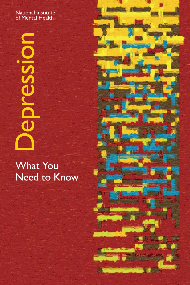National Institute of Mental Health

enressi

# What You Need to Know

甗

如何。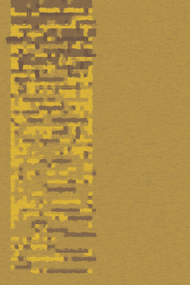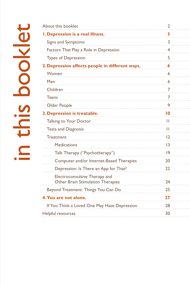in this booklet

| About this booklet                                                 | 2               |  |
|--------------------------------------------------------------------|-----------------|--|
| I. Depression is a real illness.                                   | 3               |  |
| Signs and Symptoms                                                 | 3               |  |
| Factors That Play a Role in Depression                             | 4               |  |
| <b>Types of Depression</b>                                         | 5               |  |
| 2. Depression affects people in different ways.                    | 6               |  |
| Women                                                              | 6               |  |
| Men                                                                | 6               |  |
| Children                                                           | 7               |  |
| <b>Teens</b>                                                       | 7               |  |
| Older People                                                       | 9               |  |
| 3. Depression is treatable.                                        | $\overline{10}$ |  |
| Talking to Your Doctor                                             | н               |  |
| <b>Tests and Diagnosis</b>                                         | П               |  |
| <b>Treatment</b>                                                   | 12              |  |
| <b>Medications</b>                                                 | 13              |  |
| Talk Therapy ("Psychotherapy")                                     | 9               |  |
| Computer and/or Internet-Based Therapies                           | 20              |  |
| Depression: Is There an App for That?                              | 22              |  |
| Electroconvulsive Therapy and<br>Other Brain Stimulation Therapies | 24              |  |
| Beyond Treatment: Things You Can Do                                | 25              |  |
| 4. You are not alone.                                              | 27              |  |
| If You Think a Loved One May Have Depression                       | 28              |  |
| <b>Helpful resources</b>                                           | 30              |  |
|                                                                    |                 |  |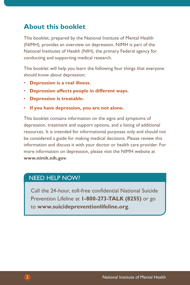# <span id="page-3-0"></span>**About this booklet**

This booklet, prepared by the National Institute of Mental Health (NIMH), provides an overview on depression. NIMH is part of the National Institutes of Health (NIH), the primary Federal agency for conducting and supporting medical research.

This booklet will help you learn the following four things that everyone should know about depression:

- **Depression is a real illness.**
- **Depression affects people in different ways.**
- **Depression is treatable.**
- **If you have depression, you are not alone.**

This booklet contains information on the signs and symptoms of depression, treatment and support options, and a listing of additional resources. It is intended for informational purposes only and should not be considered a guide for making medical decisions. Please review this information and discuss it with your doctor or health care provider. For more information on depression, please visit the NIMH website at **[www.nimh.nih.gov](http://www.nimh.nih.gov)**.

#### NEED HELP NOW?

Call the 24-hour, toll-free confidential National Suicide Prevention Lifeline at **1-800-273-TALK (8255)** or go to **[www.suicidepreventionlifeline.org](http://www.suicidepreventionlifeline.org)**.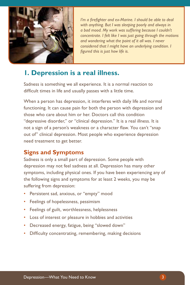<span id="page-4-0"></span>

*I'm a firefighter and ex-Marine. I should be able to deal with anything. But I was sleeping poorly and always in a bad mood. My work was suffering because I couldn't concentrate. I felt like I was just going through the motions and wondering what the point of it all was. I never considered that I might have an underlying condition. I figured this is just how life is.*

# **1. Depression is a real illness.**

Sadness is something we all experience. It is a normal reaction to difficult times in life and usually passes with a little time.

When a person has depression, it interferes with daily life and normal functioning. It can cause pain for both the person with depression and those who care about him or her. Doctors call this condition "depressive disorder," or "clinical depression." It is a real illness. It is not a sign of a person's weakness or a character flaw. You can't "snap out of" clinical depression. Most people who experience depression need treatment to get better.

# **Signs and Symptoms**

Sadness is only a small part of depression. Some people with depression may not feel sadness at all. Depression has many other symptoms, including physical ones. If you have been experiencing any of the following signs and symptoms for at least 2 weeks, you may be suffering from depression:

- Persistent sad, anxious, or "empty" mood
- Feelings of hopelessness, pessimism
- Feelings of guilt, worthlessness, helplessness
- Loss of interest or pleasure in hobbies and activities
- Decreased energy, fatigue, being "slowed down"
- Difficulty concentrating, remembering, making decisions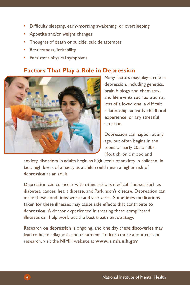- <span id="page-5-0"></span>• Difficulty sleeping, early-morning awakening, or oversleeping
- Appetite and/or weight changes
- Thoughts of death or suicide, suicide attempts
- Restlessness, irritability
- Persistent physical symptoms

### **Factors That Play a Role in Depression**



Many factors may play a role in depression, including genetics, brain biology and chemistry, and life events such as trauma, loss of a loved one, a difficult relationship, an early childhood experience, or any stressful situation.

Depression can happen at any age, but often begins in the teens or early 20s or 30s. Most chronic mood and

anxiety disorders in adults begin as high levels of anxiety in children. In fact, high levels of anxiety as a child could mean a higher risk of depression as an adult.

Depression can co-occur with other serious medical illnesses such as diabetes, cancer, heart disease, and Parkinson's disease. Depression can make these conditions worse and vice versa. Sometimes medications taken for these illnesses may cause side effects that contribute to depression. A doctor experienced in treating these complicated illnesses can help work out the best treatment strategy.

Research on depression is ongoing, and one day these discoveries may lead to better diagnosis and treatment. To learn more about current research, visit the NIMH website at **[www.nimh.nih.gov](http://www.nimh.nih.gov)**.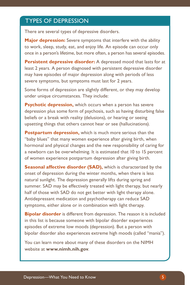# <span id="page-6-0"></span>TYPES OF DEPRESSION

There are several types of depressive disorders.

**Major depression:** Severe symptoms that interfere with the ability to work, sleep, study, eat, and enjoy life. An episode can occur only once in a person's lifetime, but more often, a person has several episodes.

**Persistent depressive disorder:** A depressed mood that lasts for at least 2 years. A person diagnosed with persistent depressive disorder may have episodes of major depression along with periods of less severe symptoms, but symptoms must last for 2 years.

Some forms of depression are slightly different, or they may develop under unique circumstances. They include:

**Psychotic depression,** which occurs when a person has severe depression plus some form of psychosis, such as having disturbing false beliefs or a break with reality (delusions), or hearing or seeing upsetting things that others cannot hear or see (hallucinations).

**Postpartum depression,** which is much more serious than the "baby blues" that many women experience after giving birth, when hormonal and physical changes and the new responsibility of caring for a newborn can be overwhelming. It is estimated that 10 to 15 percent of women experience postpartum depression after giving birth.

**Seasonal affective disorder (SAD),** which is characterized by the onset of depression during the winter months, when there is less natural sunlight. The depression generally lifts during spring and summer. SAD may be effectively treated with light therapy, but nearly half of those with SAD do not get better with light therapy alone. Antidepressant medication and psychotherapy can reduce SAD symptoms, either alone or in combination with light therapy.

**Bipolar disorder** is different from depression. The reason it is included in this list is because someone with bipolar disorder experiences episodes of extreme low moods (depression). But a person with bipolar disorder also experiences extreme high moods (called "mania").

You can learn more about many of these disorders on the NIMH website at **[www.nimh.nih.gov](http://www.nimh.nih.gov)**.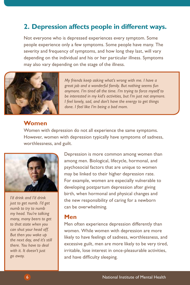# <span id="page-7-0"></span>**2. Depression affects people in different ways.**

Not everyone who is depressed experiences every symptom. Some people experience only a few symptoms. Some people have many. The severity and frequency of symptoms, and how long they last, will vary depending on the individual and his or her particular illness. Symptoms may also vary depending on the stage of the illness.



*My friends keep asking what's wrong with me. I have a great job and a wonderful family. But nothing seems fun anymore. I'm tired all the time. I'm trying to force myself to be interested in my kid's activities, but I'm just not anymore. I feel lonely, sad, and don't have the energy to get things done. I feel like I'm being a bad mom.*

#### **Women**

Women with depression do not all experience the same symptoms. However, women with depression typically have symptoms of sadness, worthlessness, and guilt.



*I'd drink and I'd drink just to get numb. I'd get numb to try to numb my head. You're talking many, many beers to get to that state when you can shut your head off. But then you wake up the next day, and it's still there. You have to deal with it. It doesn't just go away.*

Depression is more common among women than among men. Biological, lifecycle, hormonal, and psychosocial factors that are unique to women may be linked to their higher depression rate. For example, women are especially vulnerable to developing postpartum depression after giving birth, when hormonal and physical changes and the new responsibility of caring for a newborn can be overwhelming.

#### **Men**

Men often experience depression differently than women. While women with depression are more likely to have feelings of sadness, worthlessness, and excessive guilt, men are more likely to be very tired, irritable, lose interest in once-pleasurable activities, and have difficulty sleeping.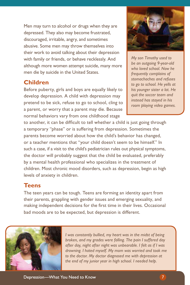<span id="page-8-0"></span>Men may turn to alcohol or drugs when they are depressed. They also may become frustrated, discouraged, irritable, angry, and sometimes abusive. Some men may throw themselves into their work to avoid talking about their depression with family or friends, or behave recklessly. And although more women attempt suicide, many more men die by suicide in the United States.

### **Children**

Before puberty, girls and boys are equally likely to develop depression. A child with depression may pretend to be sick, refuse to go to school, cling to a parent, or worry that a parent may die. Because normal behaviors vary from one childhood stage

to another, it can be difficult to tell whether a child is just going through a temporary "phase" or is suffering from depression. Sometimes the parents become worried about how the child's behavior has changed, or a teacher mentions that "your child doesn't seem to be himself." In such a case, if a visit to the child's pediatrician rules out physical symptoms, the doctor will probably suggest that the child be evaluated, preferably by a mental health professional who specializes in the treatment of children. Most chronic mood disorders, such as depression, begin as high levels of anxiety in children.

### **Teens**

The teen years can be tough. Teens are forming an identity apart from their parents, grappling with gender issues and emerging sexuality, and making independent decisions for the first time in their lives. Occasional bad moods are to be expected, but depression is different.



*I was constantly bullied, my heart was in the midst of being broken, and my grades were falling. The pain I suffered day after day, night after night was unbearable. I felt as if I was drowning. I hated myself. My mom was worried and took me to the doctor. My doctor diagnosed me with depression at the end of my junior year in high school. I needed help.*



*My son Timothy used to be an outgoing 9-year-old who loved school. Now he frequently complains of stomachaches and refuses to go to school. He yells at his younger sister a lot. He quit the soccer team and instead has stayed in his room playing video games.*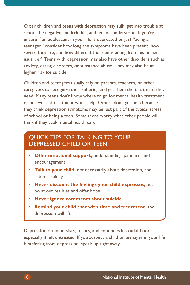Older children and teens with depression may sulk, get into trouble at school, be negative and irritable, and feel misunderstood. If you're unsure if an adolescent in your life is depressed or just "being a teenager," consider how long the symptoms have been present, how severe they are, and how different the teen is acting from his or her usual self. Teens with depression may also have other disorders such as anxiety, eating disorders, or substance abuse. They may also be at higher risk for suicide.

Children and teenagers usually rely on parents, teachers, or other caregivers to recognize their suffering and get them the treatment they need. Many teens don't know where to go for mental health treatment or believe that treatment won't help. Others don't get help because they think depression symptoms may be just part of the typical stress of school or being a teen. Some teens worry what other people will think if they seek mental health care.

# QUICK TIPS FOR TALKING TO YOUR DEPRESSED CHILD OR TEEN:

- **• Offer emotional support,** understanding, patience, and encouragement.
- **• Talk to your child,** not necessarily about depression, and listen carefully.
- **• Never discount the feelings your child expresses,** but point out realities and offer hope.
- **• Never ignore comments about suicide.**
- **• Remind your child that with time and treatment,** the depression will lift.

Depression often persists, recurs, and continues into adulthood, especially if left untreated. If you suspect a child or teenager in your life is suffering from depression, speak up right away.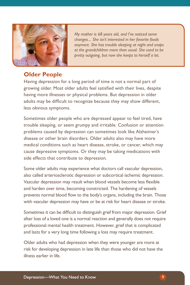<span id="page-10-0"></span>

*My mother is 68 years old, and I've noticed some changes.... She isn't interested in her favorite foods anymore. She has trouble sleeping at night and snaps at the grandchildren more than usual. She used to be pretty outgoing, but now she keeps to herself a lot.*

## **Older People**

Having depression for a long period of time is not a normal part of growing older. Most older adults feel satisfied with their lives, despite having more illnesses or physical problems. But depression in older adults may be difficult to recognize because they may show different, less obvious symptoms.

Sometimes older people who are depressed appear to feel tired, have trouble sleeping, or seem grumpy and irritable. Confusion or attention problems caused by depression can sometimes look like Alzheimer's disease or other brain disorders. Older adults also may have more medical conditions such as heart disease, stroke, or cancer, which may cause depressive symptoms. Or they may be taking medications with side effects that contribute to depression.

Some older adults may experience what doctors call vascular depression, also called arteriosclerotic depression or subcortical ischemic depression. Vascular depression may result when blood vessels become less flexible and harden over time, becoming constricted. The hardening of vessels prevents normal blood flow to the body's organs, including the brain. Those with vascular depression may have or be at risk for heart disease or stroke.

Sometimes it can be difficult to distinguish grief from major depression. Grief after loss of a loved one is a normal reaction and generally does not require professional mental health treatment. However, grief that is complicated and lasts for a very long time following a loss may require treatment.

Older adults who had depression when they were younger are more at risk for developing depression in late life than those who did not have the illness earlier in life.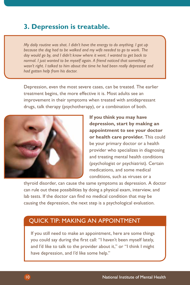# <span id="page-11-0"></span>**3. Depression is treatable.**

*My daily routine was shot. I didn't have the energy to do anything. I got up because the dog had to be walked and my wife needed to go to work. The day would go by, and I didn't know where it went. I wanted to get back to normal. I just wanted to be myself again. A friend noticed that something wasn't right. I talked to him about the time he had been really depressed and had gotten help from his doctor.* 

Depression, even the most severe cases, can be treated. The earlier treatment begins, the more effective it is. Most adults see an improvement in their symptoms when treated with antidepressant drugs, talk therapy (psychotherapy), or a combination of both.



**If you think you may have depression, start by making an appointment to see your doctor or health care provider.** This could be your primary doctor or a health provider who specializes in diagnosing and treating mental health conditions (psychologist or psychiatrist). Certain medications, and some medical conditions, such as viruses or a

thyroid disorder, can cause the same symptoms as depression. A doctor can rule out these possibilities by doing a physical exam, interview, and lab tests. If the doctor can find no medical condition that may be causing the depression, the next step is a psychological evaluation.

### QUICK TIP: MAKING AN APPOINTMENT

If you still need to make an appointment, here are some things you could say during the first call: "I haven't been myself lately, and I'd like to talk to the provider about it," or "I think I might have depression, and I'd like some help."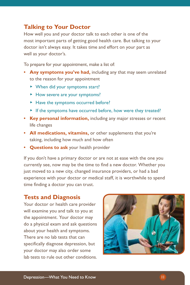# <span id="page-12-0"></span>**Talking to Your Doctor**

How well you and your doctor talk to each other is one of the most important parts of getting good health care. But talking to your doctor isn't always easy. It takes time and effort on your part as well as your doctor's.

To prepare for your appointment, make a list of:

- **• Any symptoms you've had,** including any that may seem unrelated to the reason for your appointment
	- ▶ When did your symptoms start?
	- ▶ How severe are your symptoms?
	- ▶ Have the symptoms occurred before?
	- ▶ If the symptoms have occurred before, how were they treated?
- **• Key personal information,** including any major stresses or recent life changes
- **• All medications, vitamins,** or other supplements that you're taking, including how much and how often
- **• Questions to ask** your health provider

If you don't have a primary doctor or are not at ease with the one you currently see, now may be the time to find a new doctor. Whether you just moved to a new city, changed insurance providers, or had a bad experience with your doctor or medical staff, it is worthwhile to spend time finding a doctor you can trust.

## **Tests and Diagnosis**

Your doctor or health care provider will examine you and talk to you at the appointment. Your doctor may do a physical exam and ask questions about your health and symptoms. There are no lab tests that can specifically diagnose depression, but your doctor may also order some lab tests to rule out other conditions.

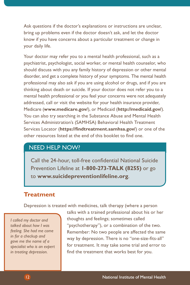<span id="page-13-0"></span>Ask questions if the doctor's explanations or instructions are unclear, bring up problems even if the doctor doesn't ask, and let the doctor know if you have concerns about a particular treatment or change in your daily life.

Your doctor may refer you to a mental health professional, such as a psychiatrist, psychologist, social worker, or mental health counselor, who should discuss with you any family history of depression or other mental disorder, and get a complete history of your symptoms. The mental health professional may also ask if you are using alcohol or drugs, and if you are thinking about death or suicide. If your doctor does not refer you to a mental health professional or you feel your concerns were not adequately addressed, call or visit the website for your health insurance provider, Medicare (**[www.medicare.gov/](http://www.medicare.gov/)**), or Medicaid (**<http://medicaid.gov/>**). You can also try searching in the Substance Abuse and Mental Health Services Administration's (SAMHSA) Behavioral Health Treatment Services Locator (**<https://findtreatment.samhsa.gov/>**) or one of the other resources listed at the end of this booklet to find one.

# NEED HELP NOW?

Call the 24-hour, toll-free confidential National Suicide Prevention Lifeline at **1-800-273-TALK (8255)** or go to **[www.suicidepreventionlifeline.org](http://www.suicidepreventionlifeline.org)**.

### **Treatment**

Depression is treated with medicines, talk therapy (where a person

*I called my doctor and talked about how I was feeling. She had me come in for a checkup and gave me the name of a specialist who is an expert in treating depression.*

talks with a trained professional about his or her thoughts and feelings; sometimes called "psychotherapy"), or a combination of the two. Remember: No two people are affected the same way by depression. There is no "one-size-fits-all" for treatment. It may take some trial and error to find the treatment that works best for you.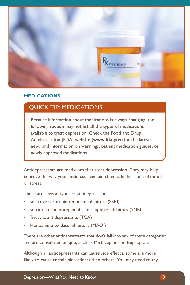<span id="page-14-0"></span>

#### **MEDICATIONS**

# QUICK TIP: MEDICATIONS

Because information about medications is always changing, the following section may not list all the types of medications available to treat depression. Check the Food and Drug Administration (FDA) website (**[www.fda.gov](http://www.fda.gov)**) for the latest news and information on warnings, patient medication guides, or newly approved medications.

Antidepressants are medicines that treat depression. They may help improve the way your brain uses certain chemicals that control mood or stress.

There are several types of antidepressants:

- Selective serotonin reuptake inhibitors (SSRI)
- Serotonin and norepinephrine reuptake inhibitors (SNRI)
- Tricyclic antidepressants (TCA)
- Monoamine oxidase inhibitors (MAOI)

There are other antidepressants that don't fall into any of these categories and are considered unique, such as Mirtazapine and Bupropion.

Although all antidepressants can cause side effects, some are more likely to cause certain side effects than others. You may need to try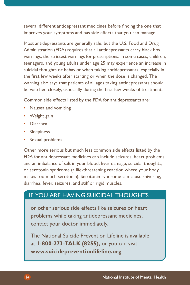several different antidepressant medicines before finding the one that improves your symptoms and has side effects that you can manage.

Most antidepressants are generally safe, but the U.S. Food and Drug Administration (FDA) requires that all antidepressants carry black box warnings, the strictest warnings for prescriptions. In some cases, children, teenagers, and young adults under age 25 may experience an increase in suicidal thoughts or behavior when taking antidepressants, especially in the first few weeks after starting or when the dose is changed. The warning also says that patients of all ages taking antidepressants should be watched closely, especially during the first few weeks of treatment.

Common side effects listed by the FDA for antidepressants are:

- Nausea and vomiting
- Weight gain
- Diarrhea
- Sleepiness
- Sexual problems

Other more serious but much less common side effects listed by the FDA for antidepressant medicines can include seizures, heart problems, and an imbalance of salt in your blood, liver damage, suicidal thoughts, or serotonin syndrome (a life-threatening reaction where your body makes too much serotonin). Serotonin syndrome can cause shivering, diarrhea, fever, seizures, and stiff or rigid muscles.

# IF YOU ARE HAVING SUICIDAL THOUGHTS

or other serious side effects like seizures or heart problems while taking antidepressant medicines, contact your doctor immediately.

The National Suicide Prevention Lifeline is available at **1-800-273-TALK (8255),** or you can visit **[www.suicidepreventionlifeline.org](http://www.suicidepreventionlifeline.org)**.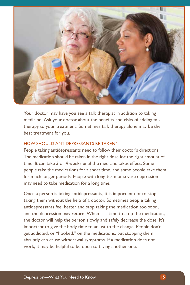

Your doctor may have you see a talk therapist in addition to taking medicine. Ask your doctor about the benefits and risks of adding talk therapy to your treatment. Sometimes talk therapy alone may be the best treatment for you.

#### HOW SHOULD ANTIDEPRESSANTS BE TAKEN?

People taking antidepressants need to follow their doctor's directions. The medication should be taken in the right dose for the right amount of time. It can take 3 or 4 weeks until the medicine takes effect. Some people take the medications for a short time, and some people take them for much longer periods. People with long-term or severe depression may need to take medication for a long time.

Once a person is taking antidepressants, it is important not to stop taking them without the help of a doctor. Sometimes people taking antidepressants feel better and stop taking the medication too soon, and the depression may return. When it is time to stop the medication, the doctor will help the person slowly and safely decrease the dose. It's important to give the body time to adjust to the change. People don't get addicted, or "hooked," on the medications, but stopping them abruptly can cause withdrawal symptoms. If a medication does not work, it may be helpful to be open to trying another one.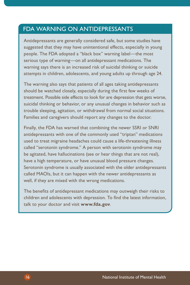# FDA WARNING ON ANTIDEPRESSANTS

Antidepressants are generally considered safe, but some studies have suggested that they may have unintentional effects, especially in young people. The FDA adopted a "black box" warning label—the most serious type of warning—on all antidepressant medications. The warning says there is an increased risk of suicidal thinking or suicide attempts in children, adolescents, and young adults up through age 24.

The warning also says that patients of all ages taking antidepressants should be watched closely, especially during the first few weeks of treatment. Possible side effects to look for are depression that gets worse, suicidal thinking or behavior, or any unusual changes in behavior such as trouble sleeping, agitation, or withdrawal from normal social situations. Families and caregivers should report any changes to the doctor.

Finally, the FDA has warned that combining the newer SSRI or SNRI antidepressants with one of the commonly used "triptan" medications used to treat migraine headaches could cause a life-threatening illness called "serotonin syndrome." A person with serotonin syndrome may be agitated, have hallucinations (see or hear things that are not real), have a high temperature, or have unusual blood pressure changes. Serotonin syndrome is usually associated with the older antidepressants called MAOIs, but it can happen with the newer antidepressants as well, if they are mixed with the wrong medications.

The benefits of antidepressant medications may outweigh their risks to children and adolescents with depression. To find the latest information, talk to your doctor and visit **[www.fda.gov](http://www.fda.gov)**.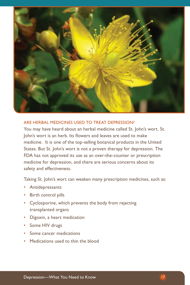

#### ARE HERBAL MEDICINES USED TO TREAT DEPRESSION?

You may have heard about an herbal medicine called St. John's wort. St. John's wort is an herb. Its flowers and leaves are used to make medicine. It is one of the top-selling botanical products in the United States. But St. John's wort is not a proven therapy for depression. The FDA has not approved its use as an over-the-counter or prescription medicine for depression, and there are serious concerns about its safety and effectiveness.

Taking St. John's wort can weaken many prescription medicines, such as:

- **Antidepressants**
- Birth control pills
- Cyclosporine, which prevents the body from rejecting transplanted organs
- Digoxin, a heart medication
- Some HIV drugs
- Some cancer medications
- Medications used to thin the blood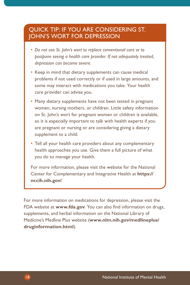# QUICK TIP: IF YOU ARE CONSIDERING ST. JOHN'S WORT FOR DEPRESSION

- *• Do not use St. John's wort to replace conventional care or to postpone seeing a health care provider. If not adequately treated, depression can become severe.*
- Keep in mind that dietary supplements can cause medical problems if not used correctly or if used in large amounts, and some may interact with medications you take. Your health care provider can advise you.
- Many dietary supplements have not been tested in pregnant women, nursing mothers, or children. Little safety information on St. John's wort for pregnant women or children is available, so it is especially important to talk with health experts if you are pregnant or nursing or are considering giving a dietary supplement to a child.
- Tell all your health care providers about any complementary health approaches you use. Give them a full picture of what you do to manage your health.

For more information, please visit the website for the National Center for Complementary and Integrative Health at **[https://](https://nccih.nih.gov/) [nccih.nih.gov/](https://nccih.nih.gov/)**.

For more information on medications for depression, please visit the FDA website at **[www.fda.gov](http://www.fda.gov)**. You can also find information on drugs, supplements, and herbal information on the National Library of Medicine's Medline Plus website (**[www.nlm.nih.gov/medlineplus/](http://www.nlm.nih.gov/medlineplus/druginformation.html) [druginformation.html](http://www.nlm.nih.gov/medlineplus/druginformation.html)**).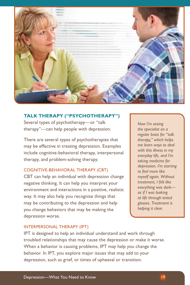<span id="page-20-0"></span>

#### **TALK THERAPY ("PSYCHOTHERAPY")**

Several types of psychotherapy—or "talk therapy"—can help people with depression.

There are several types of psychotherapies that may be effective in treating depression. Examples include cognitive-behavioral therapy, interpersonal therapy, and problem-solving therapy.

#### COGNITIVE-BEHAVIORAL THERAPY (CBT)

CBT can help an individual with depression change negative thinking. It can help you interpret your environment and interactions in a positive, realistic way. It may also help you recognize things that may be contributing to the depression and help you change behaviors that may be making the depression worse.

*Now I'm seeing the specialist on a regular basis for "talk therapy," which helps me learn ways to deal with this illness in my everyday life, and I'm taking medicine for depression. I'm starting to feel more like myself again. Without treatment, I felt like everything was dark as if I was looking at life through tinted glasses. Treatment is helping it clear.*

#### INTERPERSONAL THERAPY (IPT)

IPT is designed to help an individual understand and work through troubled relationships that may cause the depression or make it worse. When a behavior is causing problems, IPT may help you change the behavior. In IPT, you explore major issues that may add to your depression, such as grief, or times of upheaval or transition.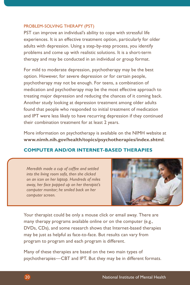#### <span id="page-21-0"></span>PROBLEM-SOLVING THERAPY (PST)

PST can improve an individual's ability to cope with stressful life experiences. It is an effective treatment option, particularly for older adults with depression. Using a step-by-step process, you identify problems and come up with realistic solutions. It is a short-term therapy and may be conducted in an individual or group format.

For mild to moderate depression, psychotherapy may be the best option. However, for severe depression or for certain people, psychotherapy may not be enough. For teens, a combination of medication and psychotherapy may be the most effective approach to treating major depression and reducing the chances of it coming back. Another study looking at depression treatment among older adults found that people who responded to initial treatment of medication and IPT were less likely to have recurring depression if they continued their combination treatment for at least 2 years.

More information on psychotherapy is available on the NIMH website at **[www.nimh.nih.gov/health/topics/psychotherapies/index.shtml](http://www.nimh.nih.gov/health/topics/psychotherapies/index.shtml)**.

#### **COMPUTER AND/OR INTERNET-BASED THERAPIES**

*Meredith made a cup of coffee and settled into the living room sofa, then she clicked on an icon on her laptop. Hundreds of miles away, her face popped up on her therapist's computer monitor; he smiled back on her computer screen.*



Your therapist could be only a mouse click or email away. There are many therapy programs available online or on the computer (e.g., DVDs, CDs), and some research shows that Internet-based therapies may be just as helpful as face-to-face. But results can vary from program to program and each program is different.

Many of these therapies are based on the two main types of psychotherapies—CBT and IPT. But they may be in different formats.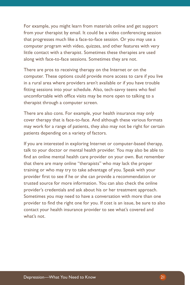For example, you might learn from materials online and get support from your therapist by email. It could be a video conferencing session that progresses much like a face-to-face session. Or you may use a computer program with video, quizzes, and other features with very little contact with a therapist. Sometimes these therapies are used along with face-to-face sessions. Sometimes they are not.

There are pros to receiving therapy on the Internet or on the computer. These options could provide more access to care if you live in a rural area where providers aren't available or if you have trouble fitting sessions into your schedule. Also, tech-savvy teens who feel uncomfortable with office visits may be more open to talking to a therapist through a computer screen.

There are also cons. For example, your health insurance may only cover therapy that is face-to-face. And although these various formats may work for a range of patients, they also may not be right for certain patients depending on a variety of factors.

If you are interested in exploring Internet or computer-based therapy, talk to your doctor or mental health provider. You may also be able to find an online mental health care provider on your own. But remember that there are many online "therapists" who may lack the proper training or who may try to take advantage of you. Speak with your provider first to see if he or she can provide a recommendation or trusted source for more information. You can also check the online provider's credentials and ask about his or her treatment approach. Sometimes you may need to have a conversation with more than one provider to find the right one for you. If cost is an issue, be sure to also contact your health insurance provider to see what's covered and what's not.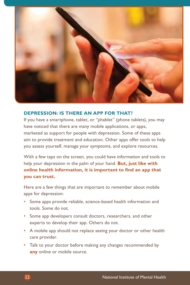<span id="page-23-0"></span>

#### **DEPRESSION: IS THERE AN APP FOR THAT?**

If you have a smartphone, tablet, or "phablet" (phone tablets), you may have noticed that there are many mobile applications, or apps, marketed as support for people with depression. Some of these apps aim to provide treatment and education. Other apps offer tools to help you assess yourself, manage your symptoms, and explore resources.

With a few taps on the screen, you could have information and tools to help your depression in the palm of your hand. **But, just like with online health information, it is important to find an app that you can trust.** 

Here are a few things that are important to remember about mobile apps for depression:

- Some apps provide reliable, science-based health information and tools. Some do not.
- Some app developers consult doctors, researchers, and other experts to develop their app. Others do not.
- A mobile app should not replace seeing your doctor or other health care provider.
- Talk to your doctor before making any changes recommended by **any** online or mobile source.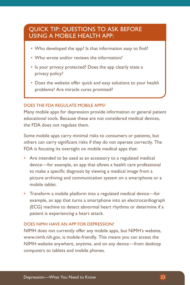# QUICK TIP: QUESTIONS TO ASK BEFORE USING A MOBILE HEALTH APP:

- Who developed the app? Is that information easy to find?
- Who wrote and/or reviews the information?
- Is your privacy protected? Does the app clearly state a privacy policy?
- Does the website offer quick and easy solutions to your health problems? Are miracle cures promised?

#### DOES THE FDA REGULATE MOBILE APPS?

Many mobile apps for depression provide information or general patient educational tools. Because these are not considered medical devices, the FDA does not regulate them.

Some mobile apps carry minimal risks to consumers or patients, but others can carry significant risks if they do not operate correctly. The FDA is focusing its oversight on mobile medical apps that:

- Are intended to be used as an accessory to a regulated medical device—for example, an app that allows a health care professional to make a specific diagnosis by viewing a medical image from a picture archiving and communication system on a smartphone or a mobile tablet.
- Transform a mobile platform into a regulated medical device—for example, an app that turns a smartphone into an electrocardiograph (ECG) machine to detect abnormal heart rhythms or determine if a patient is experiencing a heart attack.

#### DOES NIMH HAVE AN APP FOR DEPRESSION?

NIMH does not currently offer any mobile apps, but NIMH's website, [www.nimh.nih.gov](http://www.nimh.nih.gov), is mobile-friendly. This means you can access the NIMH website anywhere, anytime, and on any device—from desktop computers to tablets and mobile phones.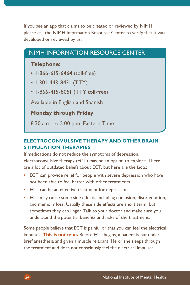<span id="page-25-0"></span>If you see an app that claims to be created or reviewed by NIMH, please call the NIMH Information Resource Center to verify that it was developed or reviewed by us.

# NIMH INFORMATION RESOURCE CENTER

### **Telephone:**

- 1-866-615-6464 (toll-free)
- 1-301-443-8431 (TTY)
- 1-866-415-8051 (TTY toll-free)

Available in English and Spanish

**Monday through Friday**

8:30 a.m. to 5:00 p.m. Eastern Time

### **ELECTROCONVULSIVE THERAPY AND OTHER BRAIN STIMULATION THERAPIES**

If medications do not reduce the symptoms of depression, electroconvulsive therapy (ECT) may be an option to explore. There are a lot of outdated beliefs about ECT, but here are the facts:

- ECT can provide relief for people with severe depression who have not been able to feel better with other treatments.
- ECT can be an effective treatment for depression.
- ECT may cause some side effects, including confusion, disorientation, and memory loss. Usually these side effects are short term, but sometimes they can linger. Talk to your doctor and make sure you understand the potential benefits and risks of the treatment.

Some people believe that ECT is painful or that you can feel the electrical impulses. **This is not true.** Before ECT begins, a patient is put under brief anesthesia and given a muscle relaxant. He or she sleeps through the treatment and does not consciously feel the electrical impulses.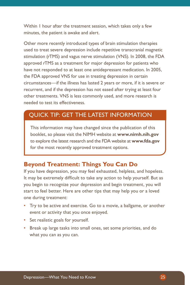<span id="page-26-0"></span>Within 1 hour after the treatment session, which takes only a few minutes, the patient is awake and alert.

Other more recently introduced types of brain stimulation therapies used to treat severe depression include repetitive transcranial magnetic stimulation (rTMS) and vagus nerve stimulation (VNS). In 2008, the FDA approved rTMS as a treatment for major depression for patients who have not responded to at least one antidepressant medication. In 2005, the FDA approved VNS for use in treating depression in certain circumstances—if the illness has lasted 2 years or more, if it is severe or recurrent, and if the depression has not eased after trying at least four other treatments. VNS is less commonly used, and more research is needed to test its effectiveness.

# QUICK TIP: GET THE LATEST INFORMATION

This information may have changed since the publication of this booklet, so please visit the NIMH website at **[www.nimh.nih.gov](http://www.nimh.nih.gov)** to explore the latest research and the FDA website at **[www.fda.gov](http://www.fda.gov)** for the most recently approved treatment options.

# **Beyond Treatment: Things You Can Do**

If you have depression, you may feel exhausted, helpless, and hopeless. It may be extremely difficult to take any action to help yourself. But as you begin to recognize your depression and begin treatment, you will start to feel better. Here are other tips that may help you or a loved one during treatment:

- Try to be active and exercise. Go to a movie, a ballgame, or another event or activity that you once enjoyed.
- Set realistic goals for yourself.
- Break up large tasks into small ones, set some priorities, and do what you can as you can.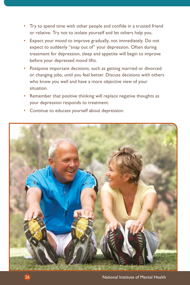- Try to spend time with other people and confide in a trusted friend or relative. Try not to isolate yourself and let others help you.
- Expect your mood to improve gradually, not immediately. Do not expect to suddenly "snap out of" your depression. Often during treatment for depression, sleep and appetite will begin to improve before your depressed mood lifts.
- Postpone important decisions, such as getting married or divorced or changing jobs, until you feel better. Discuss decisions with others who know you well and have a more objective view of your situation.
- Remember that positive thinking will replace negative thoughts as your depression responds to treatment.
- Continue to educate yourself about depression.

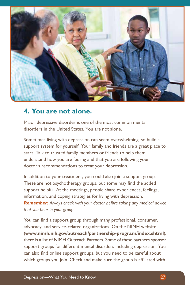<span id="page-28-0"></span>

# **4. You are not alone.**

Major depressive disorder is one of the most common mental disorders in the United States. You are not alone.

Sometimes living with depression can seem overwhelming, so build a support system for yourself. Your family and friends are a great place to start. Talk to trusted family members or friends to help them understand how you are feeling and that you are following your doctor's recommendations to treat your depression.

In addition to your treatment, you could also join a support group. These are not psychotherapy groups, but some may find the added support helpful. At the meetings, people share experiences, feelings, information, and coping strategies for living with depression. *Remember: Always check with your doctor before taking any medical advice that you hear in your group.*

You can find a support group through many professional, consumer, advocacy, and service-related organizations. On the NIMH website (**[www.nimh.nih.gov/outreach/partnership-program/index.shtml](http://www.nimh.nih.gov/outreach/partnership-program/index.shtml)**), there is a list of NIMH Outreach Partners. Some of these partners sponsor support groups for different mental disorders including depression. You can also find online support groups, but you need to be careful about which groups you join. Check and make sure the group is affiliated with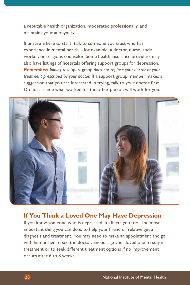<span id="page-29-0"></span>a reputable health organization, moderated professionally, and maintains your anonymity.

If unsure where to start, talk to someone you trust who has experience in mental health—for example, a doctor, nurse, social worker, or religious counselor. Some health insurance providers may also have listings of hospitals offering support groups for depression. *Remember: Joining a support group does not replace your doctor or your treatment prescribed by your doctor.* If a support group member makes a suggestion that you are interested in trying, talk to your doctor first. Do not assume what worked for the other person will work for you.



### **If You Think a Loved One May Have Depression**

If you know someone who is depressed, it affects you too. The most important thing you can do is to help your friend or relative get a diagnosis and treatment. You may need to make an appointment and go with him or her to see the doctor. Encourage your loved one to stay in treatment or to seek different treatment options if no improvement occurs after 6 to 8 weeks.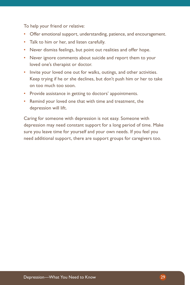To help your friend or relative:

- Offer emotional support, understanding, patience, and encouragement.
- Talk to him or her, and listen carefully.
- Never dismiss feelings, but point out realities and offer hope.
- Never ignore comments about suicide and report them to your loved one's therapist or doctor.
- Invite your loved one out for walks, outings, and other activities. Keep trying if he or she declines, but don't push him or her to take on too much too soon.
- Provide assistance in getting to doctors' appointments.
- Remind your loved one that with time and treatment, the depression will lift.

Caring for someone with depression is not easy. Someone with depression may need constant support for a long period of time. Make sure you leave time for yourself and your own needs. If you feel you need additional support, there are support groups for caregivers too.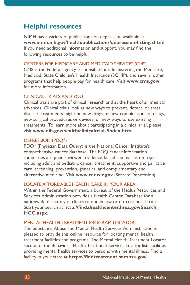# <span id="page-31-0"></span>**Helpful resources**

NIMH has a variety of publications on depression available at **[www.nimh.nih.gov/health/publications/depression-listing.shtml](http://www.nimh.nih.gov/health/publications/depression-listing.shtml)**. If you need additional information and support, you may find the following resources to be helpful.

#### CENTERS FOR MEDICARE AND MEDICAID SERVICES (CMS)

CMS is the Federal agency responsible for administering the Medicare, Medicaid, State Children's Health Insurance (SCHIP), and several other programs that help people pay for health care. Visit **[www.cms.gov/](http://www.cms.gov/)** for more information.

#### CLINICAL TRIALS AND YOU

Clinical trials are part of clinical research and at the heart of all medical advances. Clinical trials look at new ways to prevent, detect, or treat disease. Treatments might be new drugs or new combinations of drugs, new surgical procedures or devices, or new ways to use existing treatments. To learn more about participating in a clinical trial, please visit **[www.nih.gov/health/clinicaltrials/index.htm](http://www.nih.gov/health/clinicaltrials/index.htm)**.

#### DEPRESSION (PDQ®)

PDQ® (Physician Data Query) is the National Cancer Institute's comprehensive cancer database. The PDQ cancer information summaries are peer-reviewed, evidence-based summaries on topics including adult and pediatric cancer treatment, supportive and palliative care, screening, prevention, genetics, and complementary and alternative medicine. Visit **[www.cancer.gov](http://www.cancer.gov)** (Search: Depression).

#### LOCATE AFFORDABLE HEALTH CARE IN YOUR AREA

Within the Federal Government, a bureau of the Health Resources and Services Administration provides a Health Center Database for a nationwide directory of clinics to obtain low or no-cost health care. Start your search at **[http://findahealthcenter.hrsa.gov/Search\\_](http://findahealthcenter.hrsa.gov/Search_HCC.aspx) [HCC.aspx](http://findahealthcenter.hrsa.gov/Search_HCC.aspx)**.

#### MENTAL HEALTH TREATMENT PROGRAM LOCATOR

The Substance Abuse and Mental Health Services Administration is pleased to provide this online resource for locating mental health treatment facilities and programs. The Mental Health Treatment Locator section of the Behavioral Health Treatment Services Locator lists facilities providing mental health services to persons with mental illness. Find a facility in your state at **<https://findtreatment.samhsa.gov/>**.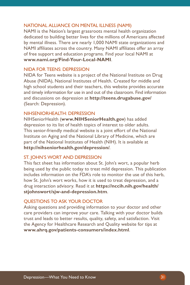#### NATIONAL ALLIANCE ON MENTAL ILLNESS (NAMI)

NAMI is the Nation's largest grassroots mental health organization dedicated to building better lives for the millions of Americans affected by mental illness. There are nearly 1,000 NAMI state organizations and NAMI affiliates across the country. Many NAMI affiliates offer an array of free support and education programs. Find your local NAMI at **[www.nami.org/Find-Your-Local-NAMI](http://www.nami.org/Find-Your-Local-NAMI)**.

#### NIDA FOR TEENS: DEPRESSION

NIDA for Teens website is a project of the National Institute on Drug Abuse (NIDA), National Institutes of Health. Created for middle and high school students and their teachers, this website provides accurate and timely information for use in and out of the classroom. Find information and discussions on depression at **<http://teens.drugabuse.gov/>** (Search: Depression).

#### NIHSENIORHEALTH: DEPRESSION

NIHSeniorHealth (**[www.NIHSeniorHealth.gov](http://www.NIHSeniorHealth.gov)**) has added depression to its list of health topics of interest to older adults. This senior-friendly medical website is a joint effort of the National Institute on Aging and the National Library of Medicine, which are part of the National Institutes of Health (NIH). It is available at **<http://nihseniorhealth.gov/depression/>**.

#### ST. JOHN'S WORT AND DEPRESSION

This fact sheet has information about St. John's wort, a popular herb being used by the public today to treat mild depression. This publication includes information on the FDA's role to monitor the use of this herb, how St. John's wort works, how it is used to treat depression, and a drug interaction advisory. Read it at **[https://nccih.nih.gov/health/](https://nccih.nih.gov/health/stjohnswort/sjw-and-depression.htm) [stjohnswort/sjw-and-depression.htm](https://nccih.nih.gov/health/stjohnswort/sjw-and-depression.htm)**.

#### QUESTIONS TO ASK YOUR DOCTOR

Asking questions and providing information to your doctor and other care providers can improve your care. Talking with your doctor builds trust and leads to better results, quality, safety, and satisfaction. Visit the Agency for Healthcare Research and Quality website for tips at **[www.ahrq.gov/patients-consumers/index.html](http://www.ahrq.gov/patients-consumers/index.html)**.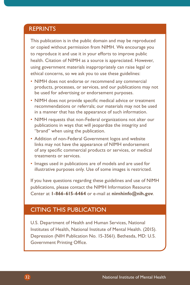### REPRINTS

This publication is in the public domain and may be reproduced or copied without permission from NIMH. We encourage you to reproduce it and use it in your efforts to improve public health. Citation of NIMH as a source is appreciated. However, using government materials inappropriately can raise legal or ethical concerns, so we ask you to use these guidelines:

- NIMH does not endorse or recommend any commercial products, processes, or services, and our publications may not be used for advertising or endorsement purposes.
- NIMH does not provide specific medical advice or treatment recommendations or referrals; our materials may not be used in a manner that has the appearance of such information.
- NIMH requests that non-Federal organizations not alter our publications in ways that will jeopardize the integrity and "brand" when using the publication.
- Addition of non-Federal Government logos and website links may not have the appearance of NIMH endorsement of any specific commercial products or services, or medical treatments or services.
- Images used in publications are of models and are used for illustrative purposes only. Use of some images is restricted.

If you have questions regarding these guidelines and use of NIMH publications, please contact the NIMH Information Resource Center at **1-866-615-6464** or e-mail at **[nimhinfo@nih.gov](mailto:nimhinfo@nih.gov)**.

## CITING THIS PUBLICATION

U.S. Department of Health and Human Services, National Institutes of Health, National Institute of Mental Health. (2015). Depression (NIH Publication No. 15-3561). Bethesda, MD: U.S. Government Printing Office.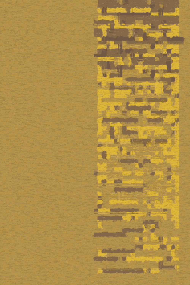